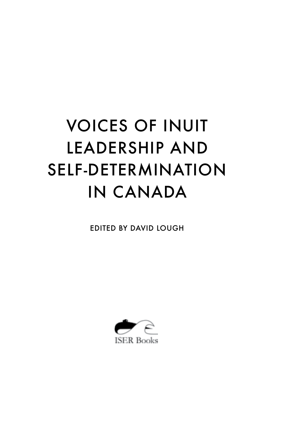# VOICES OF INUIT LEADERSHIP AND SELF-DETERMINATION IN CANADA

EDITED BY DAVID LOUGH

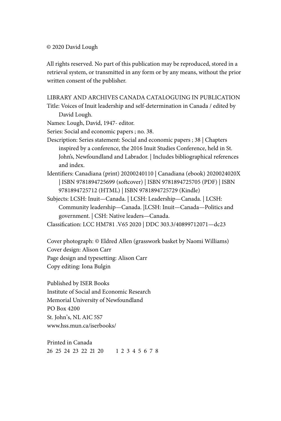#### © 2020 David Lough

All rights reserved. No part of this publication may be reproduced, stored in a retrieval system, or transmitted in any form or by any means, without the prior written consent of the publisher.

#### LIBRARY AND ARCHIVES CANADA CATALOGUING IN PUBLICATION

Title: Voices of Inuit leadership and self-determination in Canada / edited by David Lough.

Names: Lough, David, 1947- editor.

Series: Social and economic papers ; no. 38.

Description: Series statement: Social and economic papers ; 38 | Chapters inspired by a conference, the 2016 Inuit Studies Conference, held in St. John's, Newfoundland and Labrador. | Includes bibliographical references and index.

Identifiers: Canadiana (print) 20200240110 | Canadiana (ebook) 2020024020X | ISBN 9781894725699 (softcover) | ISBN 9781894725705 (PDF) | ISBN 9781894725712 (HTML) | ISBN 9781894725729 (Kindle)

Subjects: LCSH: Inuit—Canada. | LCSH: Leadership—Canada. | LCSH: Community leadership—Canada. |LCSH: Inuit—Canada—Politics and government. | CSH: Native leaders—Canada.

Classification: LCC HM781 .V65 2020 | DDC 303.3/40899712071—dc23

Cover photograph: © Eldred Allen (grasswork basket by Naomi Williams) Cover design: Alison Carr Page design and typesetting: Alison Carr Copy editing: Iona Bulgin

Published by ISER Books Institute of Social and Economic Research Memorial University of Newfoundland PO Box 4200 St. John's, NL A1C 5S7 www.hss.mun.ca/iserbooks/

Printed in Canada 26 25 24 23 22 21 20 1 2 3 4 5 6 7 8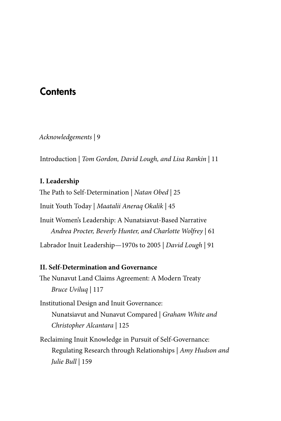## **Contents**

*Acknowledgements |* 9

Introduction | *Tom Gordon, David Lough, and Lisa Rankin* | 11

## **I. Leadership**

The Path to Self-Determination | *Natan Obed* | 25

Inuit Youth Today | *Maatalii Aneraq Okalik* | 45

Inuit Women's Leadership: A Nunatsiavut-Based Narrative *Andrea Procter, Beverly Hunter, and Charlotte Wolfrey* | 61

Labrador Inuit Leadership—1970s to 2005 | *David Lough* | 91

## **II. Self-Determination and Governance**

The Nunavut Land Claims Agreement: A Modern Treaty *Bruce Uviluq* | 117

Institutional Design and Inuit Governance: Nunatsiavut and Nunavut Compared | *Graham White and Christopher Alcantara* | 125

Reclaiming Inuit Knowledge in Pursuit of Self-Governance: Regulating Research through Relationships | *Amy Hudson and Julie Bull* | 159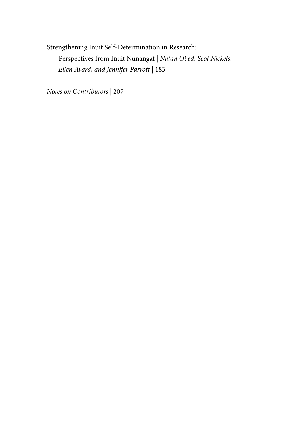Strengthening Inuit Self-Determination in Research: Perspectives from Inuit Nunangat | *Natan Obed, Scot Nickels, Ellen Avard, and Jennifer Parrott* | 183

*Notes on Contributors |* 207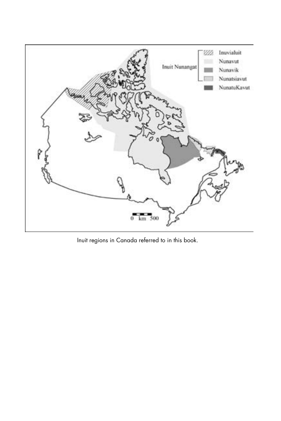

Inuit regions in Canada referred to in this book.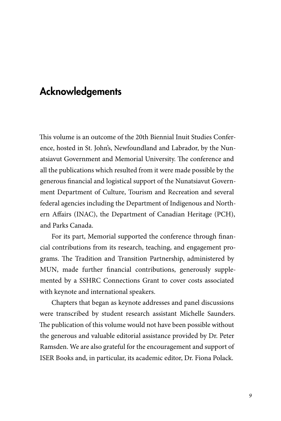## Acknowledgements

This volume is an outcome of the 20th Biennial Inuit Studies Conference, hosted in St. John's, Newfoundland and Labrador, by the Nunatsiavut Government and Memorial University. The conference and all the publications which resulted from it were made possible by the generous financial and logistical support of the Nunatsiavut Government Department of Culture, Tourism and Recreation and several federal agencies including the Department of Indigenous and Northern Affairs (INAC), the Department of Canadian Heritage (PCH), and Parks Canada.

For its part, Memorial supported the conference through financial contributions from its research, teaching, and engagement programs. The Tradition and Transition Partnership, administered by MUN, made further financial contributions, generously supplemented by a SSHRC Connections Grant to cover costs associated with keynote and international speakers.

Chapters that began as keynote addresses and panel discussions were transcribed by student research assistant Michelle Saunders. The publication of this volume would not have been possible without the generous and valuable editorial assistance provided by Dr. Peter Ramsden. We are also grateful for the encouragement and support of ISER Books and, in particular, its academic editor, Dr. Fiona Polack.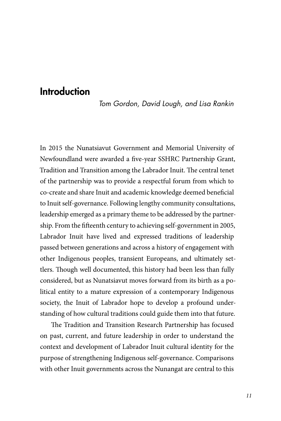# Introduction

*Tom Gordon, David Lough, and Lisa Rankin*

In 2015 the Nunatsiavut Government and Memorial University of Newfoundland were awarded a five-year SSHRC Partnership Grant, Tradition and Transition among the Labrador Inuit. The central tenet of the partnership was to provide a respectful forum from which to co-create and share Inuit and academic knowledge deemed beneficial to Inuit self-governance. Following lengthy community consultations, leadership emerged as a primary theme to be addressed by the partnership. From the fifteenth century to achieving self-government in 2005, Labrador Inuit have lived and expressed traditions of leadership passed between generations and across a history of engagement with other Indigenous peoples, transient Europeans, and ultimately settlers. Though well documented, this history had been less than fully considered, but as Nunatsiavut moves forward from its birth as a political entity to a mature expression of a contemporary Indigenous society, the Inuit of Labrador hope to develop a profound understanding of how cultural traditions could guide them into that future.

The Tradition and Transition Research Partnership has focused on past, current, and future leadership in order to understand the context and development of Labrador Inuit cultural identity for the purpose of strengthening Indigenous self-governance. Comparisons with other Inuit governments across the Nunangat are central to this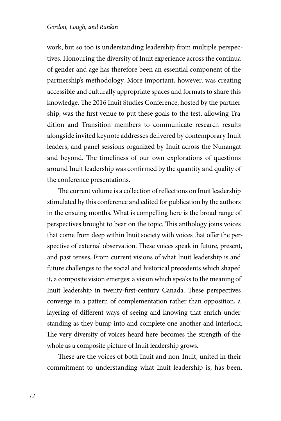work, but so too is understanding leadership from multiple perspectives. Honouring the diversity of Inuit experience across the continua of gender and age has therefore been an essential component of the partnership's methodology. More important, however, was creating accessible and culturally appropriate spaces and formats to share this knowledge. The 2016 Inuit Studies Conference, hosted by the partnership, was the first venue to put these goals to the test, allowing Tradition and Transition members to communicate research results alongside invited keynote addresses delivered by contemporary Inuit leaders, and panel sessions organized by Inuit across the Nunangat and beyond. The timeliness of our own explorations of questions around Inuit leadership was confirmed by the quantity and quality of the conference presentations.

The current volume is a collection of reflections on Inuit leadership stimulated by this conference and edited for publication by the authors in the ensuing months. What is compelling here is the broad range of perspectives brought to bear on the topic. This anthology joins voices that come from deep within Inuit society with voices that offer the perspective of external observation. These voices speak in future, present, and past tenses. From current visions of what Inuit leadership is and future challenges to the social and historical precedents which shaped it, a composite vision emerges: a vision which speaks to the meaning of Inuit leadership in twenty-first-century Canada. These perspectives converge in a pattern of complementation rather than opposition, a layering of different ways of seeing and knowing that enrich understanding as they bump into and complete one another and interlock. The very diversity of voices heard here becomes the strength of the whole as a composite picture of Inuit leadership grows.

These are the voices of both Inuit and non-Inuit, united in their commitment to understanding what Inuit leadership is, has been,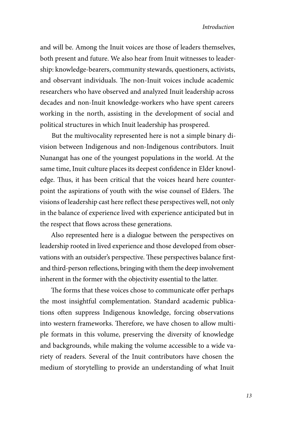and will be. Among the Inuit voices are those of leaders themselves, both present and future. We also hear from Inuit witnesses to leadership: knowledge-bearers, community stewards, questioners, activists, and observant individuals. The non-Inuit voices include academic researchers who have observed and analyzed Inuit leadership across decades and non-Inuit knowledge-workers who have spent careers working in the north, assisting in the development of social and political structures in which Inuit leadership has prospered.

But the multivocality represented here is not a simple binary division between Indigenous and non-Indigenous contributors. Inuit Nunangat has one of the youngest populations in the world. At the same time, Inuit culture places its deepest confidence in Elder knowledge. Thus, it has been critical that the voices heard here counterpoint the aspirations of youth with the wise counsel of Elders. The visions of leadership cast here reflect these perspectives well, not only in the balance of experience lived with experience anticipated but in the respect that flows across these generations.

Also represented here is a dialogue between the perspectives on leadership rooted in lived experience and those developed from observations with an outsider's perspective. These perspectives balance firstand third-person reflections, bringing with them the deep involvement inherent in the former with the objectivity essential to the latter.

The forms that these voices chose to communicate offer perhaps the most insightful complementation. Standard academic publications often suppress Indigenous knowledge, forcing observations into western frameworks. Therefore, we have chosen to allow multiple formats in this volume, preserving the diversity of knowledge and backgrounds, while making the volume accessible to a wide variety of readers. Several of the Inuit contributors have chosen the medium of storytelling to provide an understanding of what Inuit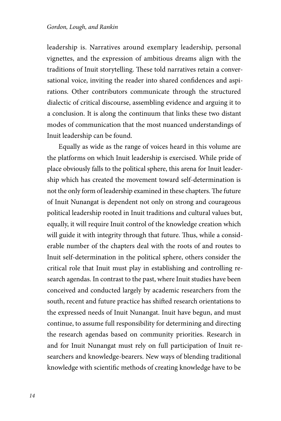leadership is. Narratives around exemplary leadership, personal vignettes, and the expression of ambitious dreams align with the traditions of Inuit storytelling. These told narratives retain a conversational voice, inviting the reader into shared confidences and aspirations. Other contributors communicate through the structured dialectic of critical discourse, assembling evidence and arguing it to a conclusion. It is along the continuum that links these two distant modes of communication that the most nuanced understandings of Inuit leadership can be found.

Equally as wide as the range of voices heard in this volume are the platforms on which Inuit leadership is exercised. While pride of place obviously falls to the political sphere, this arena for Inuit leadership which has created the movement toward self-determination is not the only form of leadership examined in these chapters. The future of Inuit Nunangat is dependent not only on strong and courageous political leadership rooted in Inuit traditions and cultural values but, equally, it will require Inuit control of the knowledge creation which will guide it with integrity through that future. Thus, while a considerable number of the chapters deal with the roots of and routes to Inuit self-determination in the political sphere, others consider the critical role that Inuit must play in establishing and controlling research agendas. In contrast to the past, where Inuit studies have been conceived and conducted largely by academic researchers from the south, recent and future practice has shifted research orientations to the expressed needs of Inuit Nunangat. Inuit have begun, and must continue, to assume full responsibility for determining and directing the research agendas based on community priorities. Research in and for Inuit Nunangat must rely on full participation of Inuit researchers and knowledge-bearers. New ways of blending traditional knowledge with scientific methods of creating knowledge have to be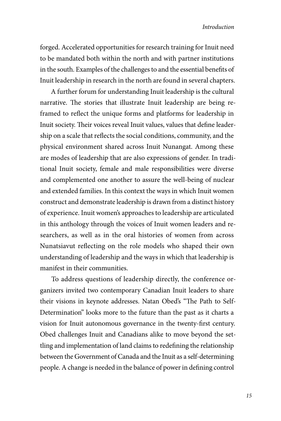forged. Accelerated opportunities for research training for Inuit need to be mandated both within the north and with partner institutions in the south. Examples of the challenges to and the essential benefits of Inuit leadership in research in the north are found in several chapters.

A further forum for understanding Inuit leadership is the cultural narrative. The stories that illustrate Inuit leadership are being reframed to reflect the unique forms and platforms for leadership in Inuit society. Their voices reveal Inuit values, values that define leadership on a scale that reflects the social conditions, community, and the physical environment shared across Inuit Nunangat. Among these are modes of leadership that are also expressions of gender. In traditional Inuit society, female and male responsibilities were diverse and complemented one another to assure the well-being of nuclear and extended families. In this context the ways in which Inuit women construct and demonstrate leadership is drawn from a distinct history of experience. Inuit women's approaches to leadership are articulated in this anthology through the voices of Inuit women leaders and researchers, as well as in the oral histories of women from across Nunatsiavut reflecting on the role models who shaped their own understanding of leadership and the ways in which that leadership is manifest in their communities.

To address questions of leadership directly, the conference organizers invited two contemporary Canadian Inuit leaders to share their visions in keynote addresses. Natan Obed's "The Path to Self-Determination" looks more to the future than the past as it charts a vision for Inuit autonomous governance in the twenty-first century. Obed challenges Inuit and Canadians alike to move beyond the settling and implementation of land claims to redefining the relationship between the Government of Canada and the Inuit as a self-determining people. A change is needed in the balance of power in defining control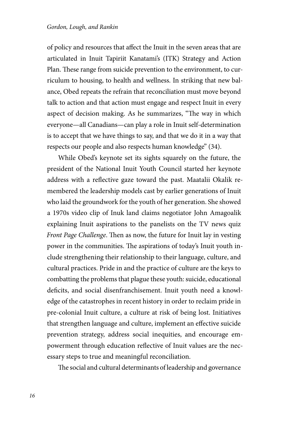of policy and resources that affect the Inuit in the seven areas that are articulated in Inuit Tapiriit Kanatami's (ITK) Strategy and Action Plan. These range from suicide prevention to the environment, to curriculum to housing, to health and wellness. In striking that new balance, Obed repeats the refrain that reconciliation must move beyond talk to action and that action must engage and respect Inuit in every aspect of decision making. As he summarizes, "The way in which everyone—all Canadians—can play a role in Inuit self-determination is to accept that we have things to say, and that we do it in a way that respects our people and also respects human knowledge" (34).

While Obed's keynote set its sights squarely on the future, the president of the National Inuit Youth Council started her keynote address with a reflective gaze toward the past. Maatalii Okalik remembered the leadership models cast by earlier generations of Inuit who laid the groundwork for the youth of her generation. She showed a 1970s video clip of Inuk land claims negotiator John Amagoalik explaining Inuit aspirations to the panelists on the TV news quiz *Front Page Challenge*. Then as now, the future for Inuit lay in vesting power in the communities. The aspirations of today's Inuit youth include strengthening their relationship to their language, culture, and cultural practices. Pride in and the practice of culture are the keys to combatting the problems that plague these youth: suicide, educational deficits, and social disenfranchisement. Inuit youth need a knowledge of the catastrophes in recent history in order to reclaim pride in pre-colonial Inuit culture, a culture at risk of being lost. Initiatives that strengthen language and culture, implement an effective suicide prevention strategy, address social inequities, and encourage empowerment through education reflective of Inuit values are the necessary steps to true and meaningful reconciliation.

The social and cultural determinants of leadership and governance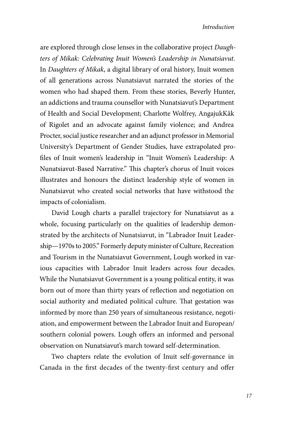are explored through close lenses in the collaborative project *Daughters of Mikak: Celebrating Inuit Women's Leadership in Nunatsiavut*. In *Daughters of Mikak*, a digital library of oral history, Inuit women of all generations across Nunatsiavut narrated the stories of the women who had shaped them. From these stories, Beverly Hunter, an addictions and trauma counsellor with Nunatsiavut's Department of Health and Social Development; Charlotte Wolfrey, AngajukKâk of Rigolet and an advocate against family violence; and Andrea Procter, social justice researcher and an adjunct professor in Memorial University's Department of Gender Studies, have extrapolated profiles of Inuit women's leadership in "Inuit Women's Leadership: A Nunatsiavut-Based Narrative." This chapter's chorus of Inuit voices illustrates and honours the distinct leadership style of women in Nunatsiavut who created social networks that have withstood the impacts of colonialism.

David Lough charts a parallel trajectory for Nunatsiavut as a whole, focusing particularly on the qualities of leadership demonstrated by the architects of Nunatsiavut, in "Labrador Inuit Leadership—1970s to 2005." Formerly deputy minister of Culture, Recreation and Tourism in the Nunatsiavut Government, Lough worked in various capacities with Labrador Inuit leaders across four decades. While the Nunatsiavut Government is a young political entity, it was born out of more than thirty years of reflection and negotiation on social authority and mediated political culture. That gestation was informed by more than 250 years of simultaneous resistance, negotiation, and empowerment between the Labrador Inuit and European/ southern colonial powers. Lough offers an informed and personal observation on Nunatsiavut's march toward self-determination.

Two chapters relate the evolution of Inuit self-governance in Canada in the first decades of the twenty-first century and offer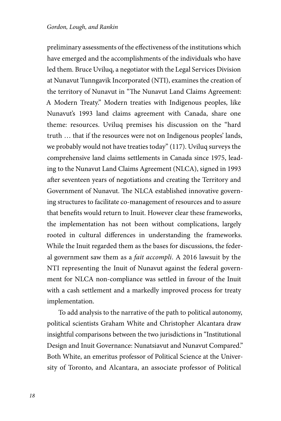preliminary assessments of the effectiveness of the institutions which have emerged and the accomplishments of the individuals who have led them. Bruce Uviluq, a negotiator with the Legal Services Division at Nunavut Tunngavik Incorporated (NTI), examines the creation of the territory of Nunavut in "The Nunavut Land Claims Agreement: A Modern Treaty." Modern treaties with Indigenous peoples, like Nunavut's 1993 land claims agreement with Canada, share one theme: resources. Uviluq premises his discussion on the "hard truth … that if the resources were not on Indigenous peoples' lands, we probably would not have treaties today" (117). Uviluq surveys the comprehensive land claims settlements in Canada since 1975, leading to the Nunavut Land Claims Agreement (NLCA), signed in 1993 after seventeen years of negotiations and creating the Territory and Government of Nunavut. The NLCA established innovative governing structures to facilitate co-management of resources and to assure that benefits would return to Inuit. However clear these frameworks, the implementation has not been without complications, largely rooted in cultural differences in understanding the frameworks. While the Inuit regarded them as the bases for discussions, the federal government saw them as a *fait accompli*. A 2016 lawsuit by the NTI representing the Inuit of Nunavut against the federal government for NLCA non-compliance was settled in favour of the Inuit with a cash settlement and a markedly improved process for treaty implementation.

To add analysis to the narrative of the path to political autonomy, political scientists Graham White and Christopher Alcantara draw insightful comparisons between the two jurisdictions in "Institutional Design and Inuit Governance: Nunatsiavut and Nunavut Compared." Both White, an emeritus professor of Political Science at the University of Toronto, and Alcantara, an associate professor of Political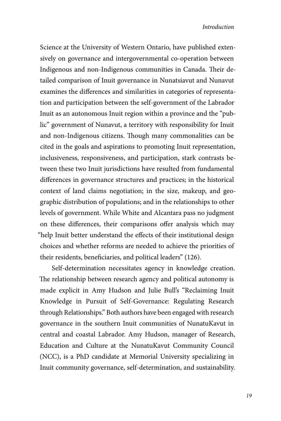Science at the University of Western Ontario, have published extensively on governance and intergovernmental co-operation between Indigenous and non-Indigenous communities in Canada. Their detailed comparison of Inuit governance in Nunatsiavut and Nunavut examines the differences and similarities in categories of representation and participation between the self-government of the Labrador Inuit as an autonomous Inuit region within a province and the "public" government of Nunavut, a territory with responsibility for Inuit and non-Indigenous citizens. Though many commonalities can be cited in the goals and aspirations to promoting Inuit representation, inclusiveness, responsiveness, and participation, stark contrasts between these two Inuit jurisdictions have resulted from fundamental differences in governance structures and practices; in the historical context of land claims negotiation; in the size, makeup, and geographic distribution of populations; and in the relationships to other levels of government. While White and Alcantara pass no judgment on these differences, their comparisons offer analysis which may "help Inuit better understand the effects of their institutional design choices and whether reforms are needed to achieve the priorities of their residents, beneficiaries, and political leaders" (126).

Self-determination necessitates agency in knowledge creation. The relationship between research agency and political autonomy is made explicit in Amy Hudson and Julie Bull's "Reclaiming Inuit Knowledge in Pursuit of Self-Governance: Regulating Research through Relationships." Both authors have been engaged with research governance in the southern Inuit communities of NunatuKavut in central and coastal Labrador. Amy Hudson, manager of Research, Education and Culture at the NunatuKavut Community Council (NCC), is a PhD candidate at Memorial University specializing in Inuit community governance, self-determination, and sustainability.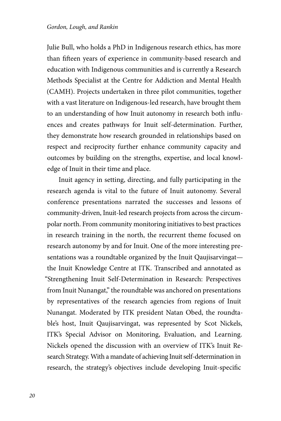Julie Bull, who holds a PhD in Indigenous research ethics, has more than fifteen years of experience in community-based research and education with Indigenous communities and is currently a Research Methods Specialist at the Centre for Addiction and Mental Health (CAMH). Projects undertaken in three pilot communities, together with a vast literature on Indigenous-led research, have brought them to an understanding of how Inuit autonomy in research both influences and creates pathways for Inuit self-determination. Further, they demonstrate how research grounded in relationships based on respect and reciprocity further enhance community capacity and outcomes by building on the strengths, expertise, and local knowledge of Inuit in their time and place.

Inuit agency in setting, directing, and fully participating in the research agenda is vital to the future of Inuit autonomy. Several conference presentations narrated the successes and lessons of community-driven, Inuit-led research projects from across the circumpolar north. From community monitoring initiatives to best practices in research training in the north, the recurrent theme focused on research autonomy by and for Inuit. One of the more interesting presentations was a roundtable organized by the Inuit Qaujisarvingat the Inuit Knowledge Centre at ITK. Transcribed and annotated as "Strengthening Inuit Self-Determination in Research: Perspectives from Inuit Nunangat," the roundtable was anchored on presentations by representatives of the research agencies from regions of Inuit Nunangat. Moderated by ITK president Natan Obed, the roundtable's host, Inuit Qaujisarvingat, was represented by Scot Nickels, ITK's Special Advisor on Monitoring, Evaluation, and Learning. Nickels opened the discussion with an overview of ITK's Inuit Research Strategy. With a mandate of achieving Inuit self-determination in research, the strategy's objectives include developing Inuit-specific